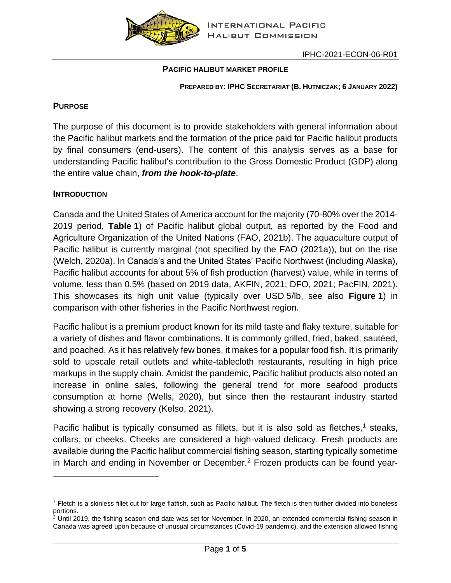

### **PACIFIC HALIBUT MARKET PROFILE**

#### **PREPARED BY: IPHC SECRETARIAT (B. HUTNICZAK; 6 JANUARY 2022)**

#### **PURPOSE**

The purpose of this document is to provide stakeholders with general information about the Pacific halibut markets and the formation of the price paid for Pacific halibut products by final consumers (end-users). The content of this analysis serves as a base for understanding Pacific halibut's contribution to the Gross Domestic Product (GDP) along the entire value chain, *from the hook-to-plate*.

#### **INTRODUCTION**

Canada and the United States of America account for the majority (70-80% over the 2014- 2019 period, **[Table](#page-1-0) 1**) of Pacific halibut global output, as reported by the Food and Agriculture Organization of the United Nations (FAO, 2021b). The aquaculture output of Pacific halibut is currently marginal (not specified by the FAO (2021a)), but on the rise (Welch, 2020a). In Canada's and the United States' Pacific Northwest (including Alaska), Pacific halibut accounts for about 5% of fish production (harvest) value, while in terms of volume, less than 0.5% (based on 2019 data, AKFIN, 2021; DFO, 2021; PacFIN, 2021). This showcases its high unit value (typically over USD 5/lb, see also **[Figure](#page-1-1) 1**) in comparison with other fisheries in the Pacific Northwest region.

Pacific halibut is a premium product known for its mild taste and flaky texture, suitable for a variety of dishes and flavor combinations. It is commonly grilled, fried, baked, sautéed, and poached. As it has relatively few bones, it makes for a popular food fish. It is primarily sold to upscale retail outlets and white-tablecloth restaurants, resulting in high price markups in the supply chain. Amidst the pandemic, Pacific halibut products also noted an increase in online sales, following the general trend for more seafood products consumption at home (Wells, 2020), but since then the restaurant industry started showing a strong recovery (Kelso, 2021).

Pacific halibut is typically consumed as fillets, but it is also sold as fletches,<sup>1</sup> steaks, collars, or cheeks. Cheeks are considered a high-valued delicacy. Fresh products are available during the Pacific halibut commercial fishing season, starting typically sometime in March and ending in November or December.<sup>2</sup> Frozen products can be found year-

<sup>1</sup> Fletch is a skinless fillet cut for large flatfish, such as Pacific halibut. The fletch is then further divided into boneless portions.

 $2$  Until 2019, the fishing season end date was set for November. In 2020, an extended commercial fishing season in Canada was agreed upon because of unusual circumstances (Covid-19 pandemic), and the extension allowed fishing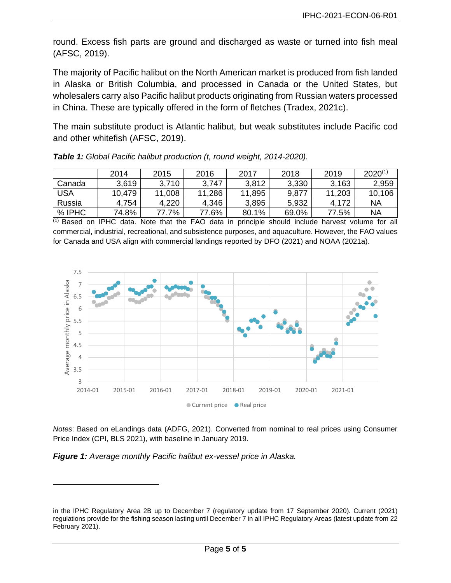round. Excess fish parts are ground and discharged as waste or turned into fish meal (AFSC, 2019).

The majority of Pacific halibut on the North American market is produced from fish landed in Alaska or British Columbia, and processed in Canada or the United States, but wholesalers carry also Pacific halibut products originating from Russian waters processed in China. These are typically offered in the form of fletches (Tradex, 2021c).

The main substitute product is Atlantic halibut, but weak substitutes include Pacific cod and other whitefish (AFSC, 2019).

|            | 2014   | 2015   | 2016   | 2017   | 2018  | 2019   | $2020^{(1)}$ |
|------------|--------|--------|--------|--------|-------|--------|--------------|
| Canada     | 3,619  | 3,710  | 3.747  | 3,812  | 3,330 | 3.163  | 2,959        |
| <b>USA</b> | 10,479 | 11,008 | 11,286 | 11,895 | 9,877 | 11,203 | 10,106       |
| Russia     | 4,754  | 4.220  | 4,346  | 3,895  | 5,932 | 4,172  | NA           |
| % IPHC     | 74.8%  | 77.7%  | 77.6%  | 80.1%  | 69.0% | 77.5%  | NA           |

<span id="page-1-0"></span>

|  |  |  | Table 1: Global Pacific halibut production (t, round weight, 2014-2020). |
|--|--|--|--------------------------------------------------------------------------|
|  |  |  |                                                                          |

(1) Based on IPHC data. Note that the FAO data in principle should include harvest volume for all commercial, industrial, recreational, and subsistence purposes, and aquaculture. However, the FAO values for Canada and USA align with commercial landings reported by DFO (2021) and NOAA (2021a).



*Notes*: Based on eLandings data (ADFG, 2021). Converted from nominal to real prices using Consumer Price Index (CPI, BLS 2021), with baseline in January 2019.

<span id="page-1-1"></span>*Figure 1: Average monthly Pacific halibut ex-vessel price in Alaska.*

in the IPHC Regulatory Area 2B up to December 7 (regulatory update from 17 September 2020). Current (2021) regulations provide for the fishing season lasting until December 7 in all IPHC Regulatory Areas (latest update from 22 February 2021).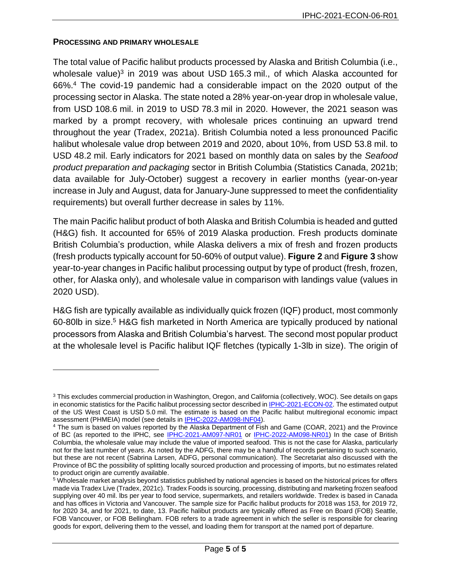### **PROCESSING AND PRIMARY WHOLESALE**

The total value of Pacific halibut products processed by Alaska and British Columbia (i.e., wholesale value)<sup>3</sup> in 2019 was about USD 165.3 mil., of which Alaska accounted for 66%.<sup>4</sup> The covid-19 pandemic had a considerable impact on the 2020 output of the processing sector in Alaska. The state noted a 28% year-on-year drop in wholesale value, from USD 108.6 mil. in 2019 to USD 78.3 mil in 2020. However, the 2021 season was marked by a prompt recovery, with wholesale prices continuing an upward trend throughout the year (Tradex, 2021a). British Columbia noted a less pronounced Pacific halibut wholesale value drop between 2019 and 2020, about 10%, from USD 53.8 mil. to USD 48.2 mil. Early indicators for 2021 based on monthly data on sales by the *Seafood product preparation and packaging* sector in British Columbia (Statistics Canada, 2021b; data available for July-October) suggest a recovery in earlier months (year-on-year increase in July and August, data for January-June suppressed to meet the confidentiality requirements) but overall further decrease in sales by 11%.

The main Pacific halibut product of both Alaska and British Columbia is headed and gutted (H&G) fish. It accounted for 65% of 2019 Alaska production. Fresh products dominate British Columbia's production, while Alaska delivers a mix of fresh and frozen products (fresh products typically account for 50-60% of output value). **[Figure](#page-3-0) 2** and **[Figure](#page-3-1) 3** show year-to-year changes in Pacific halibut processing output by type of product (fresh, frozen, other, for Alaska only), and wholesale value in comparison with landings value (values in 2020 USD).

H&G fish are typically available as individually quick frozen (IQF) product, most commonly 60-80lb in size. <sup>5</sup> H&G fish marketed in North America are typically produced by national processors from Alaska and British Columbia's harvest. The second most popular product at the wholesale level is Pacific halibut IQF fletches (typically 1-3lb in size). The origin of

<sup>3</sup> This excludes commercial production in Washington, Oregon, and California (collectively, WOC). See details on gaps in economic statistics for the Pacific halibut processing sector described in [IPHC-2021-ECON-02.](https://www.iphc.int/uploads/pdf/economics/2021/iphc-2021-econ-02.pdf) The estimated output of the US West Coast is USD 5.0 mil. The estimate is based on the Pacific halibut multiregional economic impact assessment (PHMEIA) model (see details i[n IPHC-2022-AM098-INF04\)](https://www.iphc.int/uploads/pdf/am/am098/iphc-2022-am098-inf04.pdf).

<sup>4</sup> The sum is based on values reported by the Alaska Department of Fish and Game (COAR, 2021) and the Province of BC (as reported to the IPHC, see [IPHC-2021-AM097-NR01](https://www.iphc.int/uploads/pdf/am/am097/iphc-2021-am097-nr01.pdf) or [IPHC-2022-AM098-NR01\)](https://www.iphc.int/uploads/pdf/am/am098/iphc-2022-am098-nr01.pdf) In the case of British Columbia, the wholesale value may include the value of imported seafood. This is not the case for Alaska, particularly not for the last number of years. As noted by the ADFG, there may be a handful of records pertaining to such scenario, but these are not recent (Sabrina Larsen, ADFG, personal communication). The Secretariat also discussed with the Province of BC the possibility of splitting locally sourced production and processing of imports, but no estimates related to product origin are currently available.

<sup>5</sup> Wholesale market analysis beyond statistics published by national agencies is based on the historical prices for offers made via Tradex Live (Tradex, 2021c). Tradex Foods is sourcing, processing, distributing and marketing frozen seafood supplying over 40 mil. lbs per year to food service, supermarkets, and retailers worldwide. Tredex is based in Canada and has offices in Victoria and Vancouver. The sample size for Pacific halibut products for 2018 was 153, for 2019 72, for 2020 34, and for 2021, to date, 13. Pacific halibut products are typically offered as Free on Board (FOB) Seattle, FOB Vancouver, or FOB Bellingham. FOB refers to a trade agreement in which the seller is responsible for clearing goods for export, delivering them to the vessel, and loading them for transport at the named port of departure.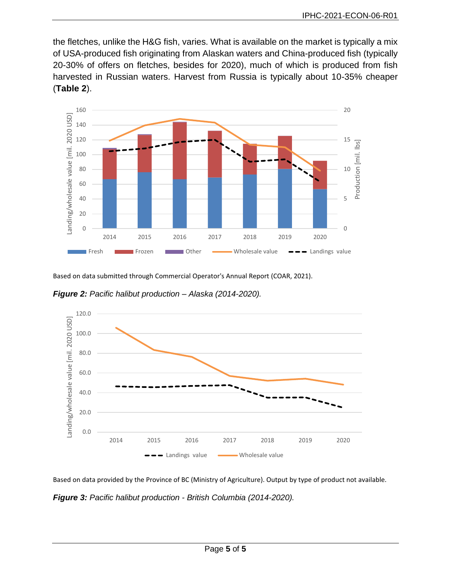the fletches, unlike the H&G fish, varies. What is available on the market is typically a mix of USA-produced fish originating from Alaskan waters and China-produced fish (typically 20-30% of offers on fletches, besides for 2020), much of which is produced from fish harvested in Russian waters. Harvest from Russia is typically about 10-35% cheaper (**[Table](#page-4-0) 2**).



Based on data submitted through Commercial Operator's Annual Report (COAR, 2021).

<span id="page-3-0"></span>*Figure 2: Pacific halibut production – Alaska (2014-2020).*



Based on data provided by the Province of BC (Ministry of Agriculture). Output by type of product not available.

<span id="page-3-1"></span>*Figure 3: Pacific halibut production - British Columbia (2014-2020).*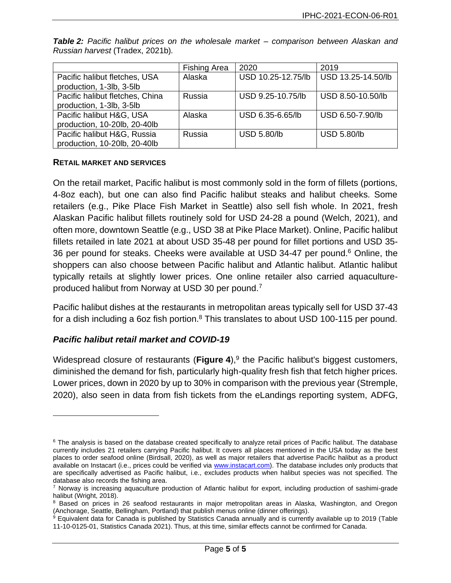|                                 | <b>Fishing Area</b> | 2020               | 2019               |
|---------------------------------|---------------------|--------------------|--------------------|
| Pacific halibut fletches, USA   | Alaska              | USD 10.25-12.75/lb | USD 13.25-14.50/lb |
| production, 1-3lb, 3-5lb        |                     |                    |                    |
| Pacific halibut fletches, China | Russia              | USD 9.25-10.75/lb  | USD 8.50-10.50/lb  |
| production, 1-3lb, 3-5lb        |                     |                    |                    |
| Pacific halibut H&G, USA        | Alaska              | USD 6.35-6.65/lb   | USD 6.50-7.90/lb   |
| production, 10-20lb, 20-40lb    |                     |                    |                    |
| Pacific halibut H&G, Russia     | Russia              | <b>USD 5.80/lb</b> | <b>USD 5.80/lb</b> |
| production, 10-20lb, 20-40lb    |                     |                    |                    |

<span id="page-4-0"></span>*Table 2: Pacific halibut prices on the wholesale market – comparison between Alaskan and Russian harvest* (Tradex, 2021b)*.*

### **RETAIL MARKET AND SERVICES**

On the retail market, Pacific halibut is most commonly sold in the form of fillets (portions, 4-8oz each), but one can also find Pacific halibut steaks and halibut cheeks. Some retailers (e.g., Pike Place Fish Market in Seattle) also sell fish whole. In 2021, fresh Alaskan Pacific halibut fillets routinely sold for USD 24-28 a pound (Welch, 2021), and often more, downtown Seattle (e.g., USD 38 at Pike Place Market). Online, Pacific halibut fillets retailed in late 2021 at about USD 35-48 per pound for fillet portions and USD 35- 36 per pound for steaks. Cheeks were available at USD 34-47 per pound.<sup>6</sup> Online, the shoppers can also choose between Pacific halibut and Atlantic halibut. Atlantic halibut typically retails at slightly lower prices. One online retailer also carried aquacultureproduced halibut from Norway at USD 30 per pound.<sup>7</sup>

Pacific halibut dishes at the restaurants in metropolitan areas typically sell for USD 37-43 for a dish including a 6oz fish portion. $8$  This translates to about USD 100-115 per pound.

### *Pacific halibut retail market and COVID-19*

Widespread closure of restaurants ([Figure](#page-5-0) 4),<sup>9</sup> the Pacific halibut's biggest customers, diminished the demand for fish, particularly high-quality fresh fish that fetch higher prices. Lower prices, down in 2020 by up to 30% in comparison with the previous year (Stremple, 2020), also seen in data from fish tickets from the eLandings reporting system, ADFG,

 $6$  The analysis is based on the database created specifically to analyze retail prices of Pacific halibut. The database currently includes 21 retailers carrying Pacific halibut. It covers all places mentioned in the USA today as the best places to order seafood online (Birdsall, 2020), as well as major retailers that advertise Pacific halibut as a product available on Instacart (i.e., prices could be verified via [www.instacart.com\)](http://www.instacart.com/). The database includes only products that are specifically advertised as Pacific halibut, i.e., excludes products when halibut species was not specified. The database also records the fishing area.

<sup>7</sup> Norway is increasing aquaculture production of Atlantic halibut for export, including production of sashimi-grade halibut (Wright, 2018).

<sup>&</sup>lt;sup>8</sup> Based on prices in 26 seafood restaurants in maior metropolitan areas in Alaska, Washington, and Oregon (Anchorage, Seattle, Bellingham, Portland) that publish menus online (dinner offerings).

<sup>&</sup>lt;sup>9</sup> Equivalent data for Canada is published by Statistics Canada annually and is currently available up to 2019 (Table 11-10-0125-01, Statistics Canada 2021). Thus, at this time, similar effects cannot be confirmed for Canada.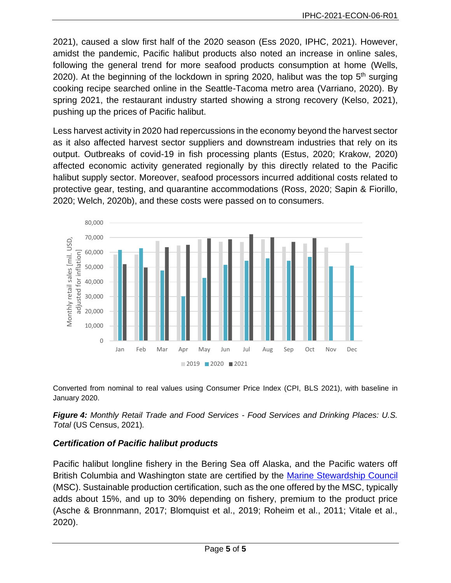2021), caused a slow first half of the 2020 season (Ess 2020, IPHC, 2021). However, amidst the pandemic, Pacific halibut products also noted an increase in online sales, following the general trend for more seafood products consumption at home (Wells, 2020). At the beginning of the lockdown in spring 2020, halibut was the top  $5<sup>th</sup>$  surging cooking recipe searched online in the Seattle-Tacoma metro area (Varriano, 2020). By spring 2021, the restaurant industry started showing a strong recovery (Kelso, 2021), pushing up the prices of Pacific halibut.

Less harvest activity in 2020 had repercussions in the economy beyond the harvest sector as it also affected harvest sector suppliers and downstream industries that rely on its output. Outbreaks of covid-19 in fish processing plants (Estus, 2020; Krakow, 2020) affected economic activity generated regionally by this directly related to the Pacific halibut supply sector. Moreover, seafood processors incurred additional costs related to protective gear, testing, and quarantine accommodations (Ross, 2020; Sapin & Fiorillo, 2020; Welch, 2020b), and these costs were passed on to consumers.



Converted from nominal to real values using Consumer Price Index (CPI, BLS 2021), with baseline in January 2020.

<span id="page-5-0"></span>*Figure 4: Monthly Retail Trade and Food Services - Food Services and Drinking Places: U.S. Total* (US Census, 2021)*.*

## *Certification of Pacific halibut products*

Pacific halibut longline fishery in the Bering Sea off Alaska, and the Pacific waters off British Columbia and Washington state are certified by the [Marine Stewardship Council](https://fisheries.msc.org/en/fisheries/) (MSC). Sustainable production certification, such as the one offered by the MSC, typically adds about 15%, and up to 30% depending on fishery, premium to the product price (Asche & Bronnmann, 2017; Blomquist et al., 2019; Roheim et al., 2011; Vitale et al., 2020).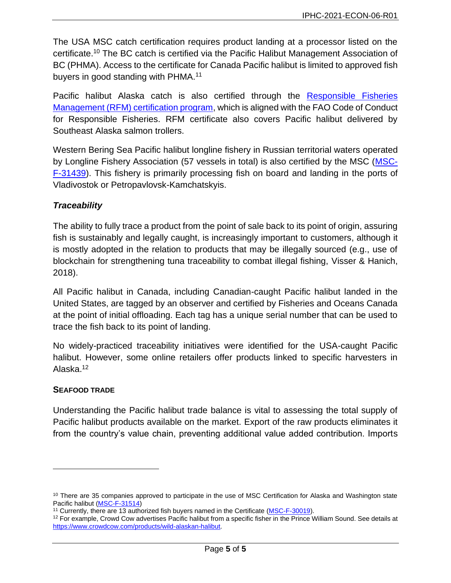The USA MSC catch certification requires product landing at a processor listed on the certificate.<sup>10</sup> The BC catch is certified via the Pacific Halibut Management Association of BC (PHMA). Access to the certificate for Canada Pacific halibut is limited to approved fish buyers in good standing with PHMA.<sup>11</sup>

Pacific halibut Alaska catch is also certified through the Responsible Fisheries [Management \(RFM\) certification program,](https://rfmcertification.org/certified-fishery-species/alaska-halibut/) which is aligned with the FAO Code of Conduct for Responsible Fisheries. RFM certificate also covers Pacific halibut delivered by Southeast Alaska salmon trollers.

Western Bering Sea Pacific halibut longline fishery in Russian territorial waters operated by Longline Fishery Association (57 vessels in total) is also certified by the MSC [\(MSC-](https://cert.msc.org/FileLoader/FileLinkDownload.asmx/GetFile?encryptedKey=uNJKSz0qCIW3NPY98bLG8hPjx3PctibV4l1bsKOomJFptlHJcLo5lWf/h0R9laZa)[F-31439\)](https://cert.msc.org/FileLoader/FileLinkDownload.asmx/GetFile?encryptedKey=uNJKSz0qCIW3NPY98bLG8hPjx3PctibV4l1bsKOomJFptlHJcLo5lWf/h0R9laZa). This fishery is primarily processing fish on board and landing in the ports of Vladivostok or Petropavlovsk-Kamchatskyis.

## *Traceability*

The ability to fully trace a product from the point of sale back to its point of origin, assuring fish is sustainably and legally caught, is increasingly important to customers, although it is mostly adopted in the relation to products that may be illegally sourced (e.g., use of blockchain for strengthening tuna traceability to combat illegal fishing, Visser & Hanich, 2018).

<span id="page-6-0"></span>All Pacific halibut in Canada, including Canadian-caught Pacific halibut landed in the United States, are tagged by an observer and certified by Fisheries and Oceans Canada at the point of initial offloading. Each tag has a unique serial number that can be used to trace the fish back to its point of landing.

No widely-practiced traceability initiatives were identified for the USA-caught Pacific halibut. However, some online retailers offer products linked to specific harvesters in Alaska.<sup>12</sup>

### **SEAFOOD TRADE**

Understanding the Pacific halibut trade balance is vital to assessing the total supply of Pacific halibut products available on the market. Export of the raw products eliminates it from the country's value chain, preventing additional value added contribution. Imports

<sup>&</sup>lt;sup>10</sup> There are 35 companies approved to participate in the use of MSC Certification for Alaska and Washington state Pacific halibut [\(MSC-F-31514\)](https://cert.msc.org/FileLoader/FileLinkDownload.asmx/GetFile?encryptedKey=mkpu56G1wO6dsgVnG0/cIpwcFsqc9v0PzvigYVLN/DramP/teUEEAbyzfdxUdCn3)

<sup>&</sup>lt;sup>11</sup> Currently, there are 13 authorized fish buyers named in the Certificate [\(MSC-F-30019\)](https://cert.msc.org/FileLoader/FileLinkDownload.asmx/GetFile?encryptedKey=YRHtly40mG3xvPoA8pAGH6G1PFiKxW/V+trVngVGXBTbq8eoMaS9ZkzL5326MFDm).

 $12$  For example, Crowd Cow advertises Pacific halibut from a specific fisher in the Prince William Sound. See details at [https://www.crowdcow.com/products/wild-alaskan-halibut.](https://www.crowdcow.com/products/wild-alaskan-halibut)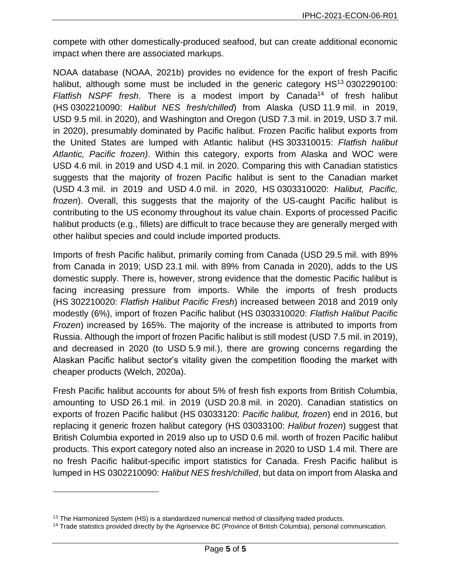compete with other domestically-produced seafood, but can create additional economic impact when there are associated markups.

NOAA database (NOAA, 2021b) provides no evidence for the export of fresh Pacific halibut, although some must be included in the generic category  $HS<sup>13</sup>$  0302290100: *Flatfish NSPF fresh*. There is a modest import by Canada<sup>14</sup> of fresh halibut (HS 0302210090: *Halibut NES fresh/chilled*) from Alaska (USD 11.9 mil. in 2019, USD 9.5 mil. in 2020), and Washington and Oregon (USD 7.3 mil. in 2019, USD 3.7 mil. in 2020), presumably dominated by Pacific halibut. Frozen Pacific halibut exports from the United States are lumped with Atlantic halibut (HS 303310015: *Flatfish halibut Atlantic, Pacific frozen)*. Within this category, exports from Alaska and WOC were USD 4.6 mil. in 2019 and USD 4.1 mil. in 2020. Comparing this with Canadian statistics suggests that the majority of frozen Pacific halibut is sent to the Canadian market (USD 4.3 mil. in 2019 and USD 4.0 mil. in 2020, HS 0303310020: *Halibut, Pacific, frozen*). Overall, this suggests that the majority of the US-caught Pacific halibut is contributing to the US economy throughout its value chain. Exports of processed Pacific halibut products (e.g., fillets) are difficult to trace because they are generally merged with other halibut species and could include imported products.

Imports of fresh Pacific halibut, primarily coming from Canada (USD 29.5 mil. with 89% from Canada in 2019; USD 23.1 mil. with 89% from Canada in 2020), adds to the US domestic supply. There is, however, strong evidence that the domestic Pacific halibut is facing increasing pressure from imports. While the imports of fresh products (HS 302210020: *Flatfish Halibut Pacific Fresh*) increased between 2018 and 2019 only modestly (6%), import of frozen Pacific halibut (HS 0303310020: *Flatfish Halibut Pacific Frozen*) increased by 165%. The majority of the increase is attributed to imports from Russia. Although the import of frozen Pacific halibut is still modest (USD 7.5 mil. in 2019), and decreased in 2020 (to USD 5.9 mil.), there are growing concerns regarding the Alaskan Pacific halibut sector's vitality given the competition flooding the market with cheaper products (Welch, 2020a).

Fresh Pacific halibut accounts for about 5% of fresh fish exports from British Columbia, amounting to USD 26.1 mil. in 2019 (USD 20.8 mil. in 2020). Canadian statistics on exports of frozen Pacific halibut (HS 03033120: *Pacific halibut, frozen*) end in 2016, but replacing it generic frozen halibut category (HS 03033100: *Halibut frozen*) suggest that British Columbia exported in 2019 also up to USD 0.6 mil. worth of frozen Pacific halibut products. This export category noted also an increase in 2020 to USD 1.4 mil. There are no fresh Pacific halibut-specific import statistics for Canada. Fresh Pacific halibut is lumped in HS 0302210090: *Halibut NES fresh/chilled*, but data on import from Alaska and

 $13$  The Harmonized System (HS) is a standardized numerical method of classifying traded products.

<sup>14</sup> Trade statistics provided directly by the Agriservice BC (Province of British Columbia), personal communication.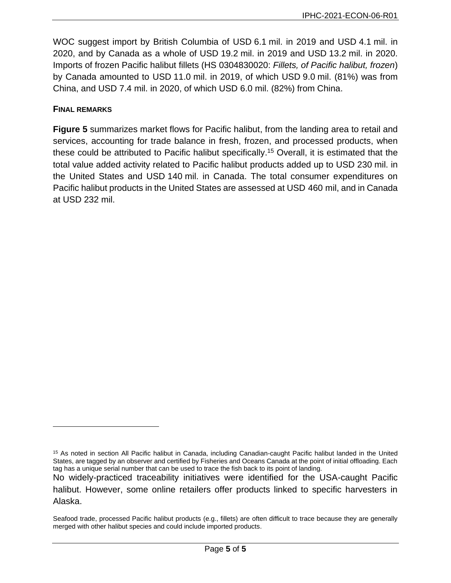WOC suggest import by British Columbia of USD 6.1 mil. in 2019 and USD 4.1 mil. in 2020, and by Canada as a whole of USD 19.2 mil. in 2019 and USD 13.2 mil. in 2020. Imports of frozen Pacific halibut fillets (HS 0304830020: *Fillets, of Pacific halibut, frozen*) by Canada amounted to USD 11.0 mil. in 2019, of which USD 9.0 mil. (81%) was from China, and USD 7.4 mil. in 2020, of which USD 6.0 mil. (82%) from China.

### **FINAL REMARKS**

**[Figure](#page-9-0) 5** summarizes market flows for Pacific halibut, from the landing area to retail and services, accounting for trade balance in fresh, frozen, and processed products, when these could be attributed to Pacific halibut specifically. <sup>15</sup> Overall, it is estimated that the total value added activity related to Pacific halibut products added up to USD 230 mil. in the United States and USD 140 mil. in Canada. The total consumer expenditures on Pacific halibut products in the United States are assessed at USD 460 mil, and in Canada at USD 232 mil[.](#page-12-0)

<sup>&</sup>lt;sup>15</sup> As noted in section All Pacific halibut in Canada, including Canadian-caught Pacific halibut landed in the United [States, are tagged by an observer and certified by Fisheries and Oceans Canada at the point of initial offloading. Each](#page-6-0)  [tag has a unique serial number that can be used to trace the fish back to its point of landing.](#page-6-0)

[No widely-practiced traceability initiatives were identified for the USA-caught Pacific](#page-6-0)  [halibut. However, some online retailers offer products linked to specific harvesters in](#page-6-0)  [Alaska.](#page-6-0)

[Seafood trade,](#page-6-0) processed Pacific halibut products (e.g., fillets) are often difficult to trace because they are generally merged with other halibut species and could include imported products.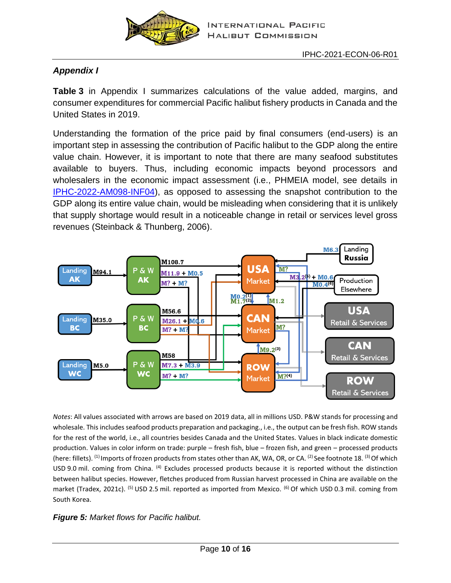

# *[Appendix](#page-12-0) I*

**[Table](#page-12-0) 3** in [Appendix](#page-13-0) I summarizes calculations of the value added, margins, and consumer expenditures for commercial Pacific halibut fishery products in Canada and the United States in 2019.

Understanding the formation of the price paid by final consumers (end-users) is an important step in assessing the contribution of Pacific halibut to the GDP along the entire value chain. However, it is important to note that there are many seafood substitutes available to buyers. Thus, including economic impacts beyond processors and wholesalers in the economic impact assessment (i.e., PHMEIA model, see details in [IPHC-2022-AM098-INF04\)](https://www.iphc.int/uploads/pdf/am/am098/iphc-2022-am098-inf04.pdf), as opposed to assessing the snapshot contribution to the GDP along its entire value chain, would be misleading when considering that it is unlikely that supply shortage would result in a noticeable change in retail or services level gross revenues (Steinback & Thunberg, 2006).



*Notes*: All values associated with arrows are based on 2019 data, all in millions USD. P&W stands for processing and wholesale. This includes seafood products preparation and packaging., i.e., the output can be fresh fish. ROW stands for the rest of the world, i.e., all countries besides Canada and the United States. Values in black indicate domestic production. Values in color inform on trade: purple – fresh fish, blue – frozen fish, and green – processed products (here: fillets). <sup>(1)</sup> Imports of frozen products from states other than AK, WA, OR, or CA. <sup>(2)</sup> See footnote [18.](#page-13-1) <sup>(3)</sup> Of which USD 9.0 mil. coming from China. (4) Excludes processed products because it is reported without the distinction between halibut species. However, fletches produced from Russian harvest processed in China are available on the market (Tradex, 2021c). <sup>(5)</sup> USD 2.5 mil. reported as imported from Mexico. <sup>(6)</sup> Of which USD 0.3 mil. coming from South Korea.

<span id="page-9-0"></span>*Figure 5: Market flows for Pacific halibut.*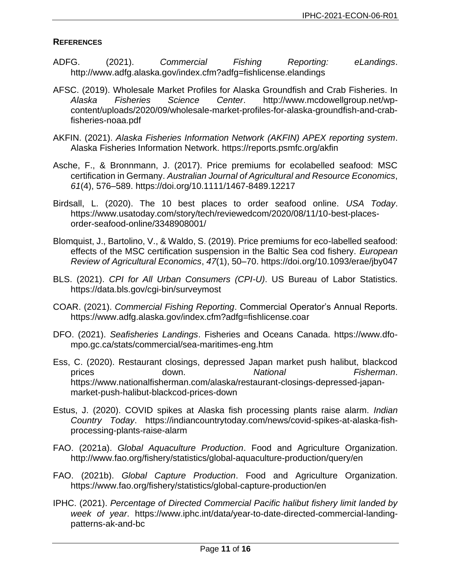### **REFERENCES**

- ADFG. (2021). *Commercial Fishing Reporting: eLandings*. http://www.adfg.alaska.gov/index.cfm?adfg=fishlicense.elandings
- AFSC. (2019). Wholesale Market Profiles for Alaska Groundfish and Crab Fisheries. In *Alaska Fisheries Science Center*. http://www.mcdowellgroup.net/wpcontent/uploads/2020/09/wholesale-market-profiles-for-alaska-groundfish-and-crabfisheries-noaa.pdf
- AKFIN. (2021). *Alaska Fisheries Information Network (AKFIN) APEX reporting system*. Alaska Fisheries Information Network. https://reports.psmfc.org/akfin
- Asche, F., & Bronnmann, J. (2017). Price premiums for ecolabelled seafood: MSC certification in Germany. *Australian Journal of Agricultural and Resource Economics*, *61*(4), 576–589. https://doi.org/10.1111/1467-8489.12217
- Birdsall, L. (2020). The 10 best places to order seafood online. *USA Today*. https://www.usatoday.com/story/tech/reviewedcom/2020/08/11/10-best-placesorder-seafood-online/3348908001/
- Blomquist, J., Bartolino, V., & Waldo, S. (2019). Price premiums for eco-labelled seafood: effects of the MSC certification suspension in the Baltic Sea cod fishery. *European Review of Agricultural Economics*, *47*(1), 50–70. https://doi.org/10.1093/erae/jby047
- BLS. (2021). *CPI for All Urban Consumers (CPI-U)*. US Bureau of Labor Statistics. https://data.bls.gov/cgi-bin/surveymost
- COAR. (2021). *Commercial Fishing Reporting*. Commercial Operator's Annual Reports. https://www.adfg.alaska.gov/index.cfm?adfg=fishlicense.coar
- DFO. (2021). *Seafisheries Landings*. Fisheries and Oceans Canada. https://www.dfompo.gc.ca/stats/commercial/sea-maritimes-eng.htm
- Ess, C. (2020). Restaurant closings, depressed Japan market push halibut, blackcod prices down. *National Fisherman*. https://www.nationalfisherman.com/alaska/restaurant-closings-depressed-japanmarket-push-halibut-blackcod-prices-down
- Estus, J. (2020). COVID spikes at Alaska fish processing plants raise alarm. *Indian Country Today*. https://indiancountrytoday.com/news/covid-spikes-at-alaska-fishprocessing-plants-raise-alarm
- FAO. (2021a). *Global Aquaculture Production*. Food and Agriculture Organization. http://www.fao.org/fishery/statistics/global-aquaculture-production/query/en
- FAO. (2021b). *Global Capture Production*. Food and Agriculture Organization. https://www.fao.org/fishery/statistics/global-capture-production/en
- IPHC. (2021). *Percentage of Directed Commercial Pacific halibut fishery limit landed by week of year*. https://www.iphc.int/data/year-to-date-directed-commercial-landingpatterns-ak-and-bc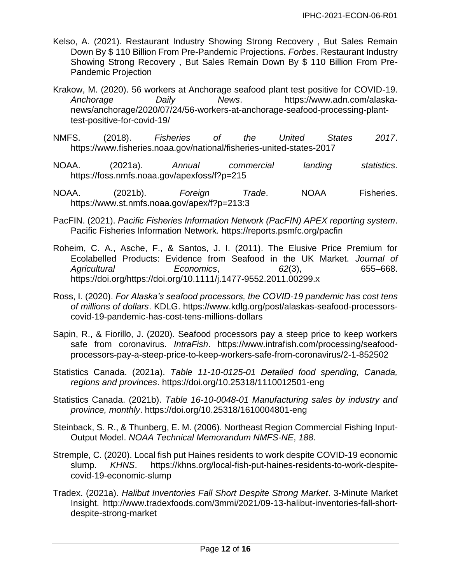- Kelso, A. (2021). Restaurant Industry Showing Strong Recovery , But Sales Remain Down By \$ 110 Billion From Pre-Pandemic Projections. *Forbes*. Restaurant Industry Showing Strong Recovery , But Sales Remain Down By \$ 110 Billion From Pre-Pandemic Projection
- Krakow, M. (2020). 56 workers at Anchorage seafood plant test positive for COVID-19. *Anchorage Daily News*. https://www.adn.com/alaskanews/anchorage/2020/07/24/56-workers-at-anchorage-seafood-processing-planttest-positive-for-covid-19/
- NMFS. (2018). *Fisheries of the United States 2017*. https://www.fisheries.noaa.gov/national/fisheries-united-states-2017
- NOAA. (2021a). *Annual commercial landing statistics*. https://foss.nmfs.noaa.gov/apexfoss/f?p=215
- NOAA. (2021b). *Foreign Trade*. NOAA Fisheries. https://www.st.nmfs.noaa.gov/apex/f?p=213:3
- PacFIN. (2021). *Pacific Fisheries Information Network (PacFIN) APEX reporting system*. Pacific Fisheries Information Network. https://reports.psmfc.org/pacfin
- Roheim, C. A., Asche, F., & Santos, J. I. (2011). The Elusive Price Premium for Ecolabelled Products: Evidence from Seafood in the UK Market. *Journal of Agricultural Economics*, *62*(3), 655–668. https://doi.org/https://doi.org/10.1111/j.1477-9552.2011.00299.x
- Ross, I. (2020). *For Alaska's seafood processors, the COVID-19 pandemic has cost tens of millions of dollars*. KDLG. https://www.kdlg.org/post/alaskas-seafood-processorscovid-19-pandemic-has-cost-tens-millions-dollars
- Sapin, R., & Fiorillo, J. (2020). Seafood processors pay a steep price to keep workers safe from coronavirus. *IntraFish*. https://www.intrafish.com/processing/seafoodprocessors-pay-a-steep-price-to-keep-workers-safe-from-coronavirus/2-1-852502
- Statistics Canada. (2021a). *Table 11-10-0125-01 Detailed food spending, Canada, regions and provinces*. https://doi.org/10.25318/1110012501-eng
- Statistics Canada. (2021b). *Table 16-10-0048-01 Manufacturing sales by industry and province, monthly*. https://doi.org/10.25318/1610004801-eng
- Steinback, S. R., & Thunberg, E. M. (2006). Northeast Region Commercial Fishing Input-Output Model. *NOAA Technical Memorandum NMFS-NE*, *188*.
- Stremple, C. (2020). Local fish put Haines residents to work despite COVID-19 economic slump. *KHNS*. https://khns.org/local-fish-put-haines-residents-to-work-despitecovid-19-economic-slump
- Tradex. (2021a). *Halibut Inventories Fall Short Despite Strong Market*. 3-Minute Market Insight. http://www.tradexfoods.com/3mmi/2021/09-13-halibut-inventories-fall-shortdespite-strong-market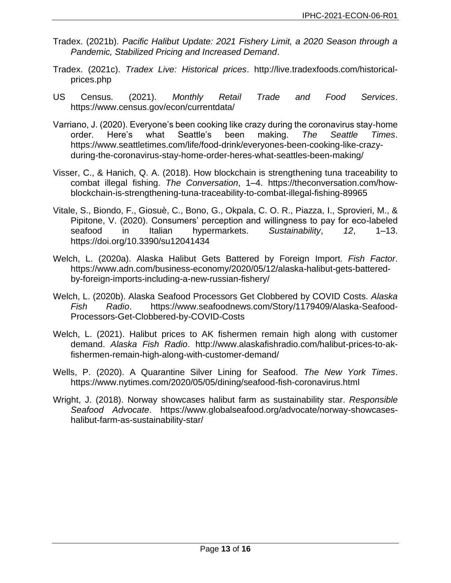- Tradex. (2021b). *Pacific Halibut Update: 2021 Fishery Limit, a 2020 Season through a Pandemic, Stabilized Pricing and Increased Demand*.
- Tradex. (2021c). *Tradex Live: Historical prices*. http://live.tradexfoods.com/historicalprices.php
- US Census. (2021). *Monthly Retail Trade and Food Services*. https://www.census.gov/econ/currentdata/
- Varriano, J. (2020). Everyone's been cooking like crazy during the coronavirus stay-home order. Here's what Seattle's been making. *The Seattle Times*. https://www.seattletimes.com/life/food-drink/everyones-been-cooking-like-crazyduring-the-coronavirus-stay-home-order-heres-what-seattles-been-making/
- Visser, C., & Hanich, Q. A. (2018). How blockchain is strengthening tuna traceability to combat illegal fishing. *The Conversation*, 1–4. https://theconversation.com/howblockchain-is-strengthening-tuna-traceability-to-combat-illegal-fishing-89965
- Vitale, S., Biondo, F., Giosuè, C., Bono, G., Okpala, C. O. R., Piazza, I., Sprovieri, M., & Pipitone, V. (2020). Consumers' perception and willingness to pay for eco-labeled seafood in Italian hypermarkets. *Sustainability*, *12*, 1–13. https://doi.org/10.3390/su12041434
- Welch, L. (2020a). Alaska Halibut Gets Battered by Foreign Import. *Fish Factor*. https://www.adn.com/business-economy/2020/05/12/alaska-halibut-gets-batteredby-foreign-imports-including-a-new-russian-fishery/
- Welch, L. (2020b). Alaska Seafood Processors Get Clobbered by COVID Costs. *Alaska Fish Radio*. https://www.seafoodnews.com/Story/1179409/Alaska-Seafood-Processors-Get-Clobbered-by-COVID-Costs
- Welch, L. (2021). Halibut prices to AK fishermen remain high along with customer demand. *Alaska Fish Radio*. http://www.alaskafishradio.com/halibut-prices-to-akfishermen-remain-high-along-with-customer-demand/
- Wells, P. (2020). A Quarantine Silver Lining for Seafood. *The New York Times*. https://www.nytimes.com/2020/05/05/dining/seafood-fish-coronavirus.html
- <span id="page-12-0"></span>Wright, J. (2018). Norway showcases halibut farm as sustainability star. *Responsible Seafood Advocate*. https://www.globalseafood.org/advocate/norway-showcaseshalibut-farm-as-sustainability-star/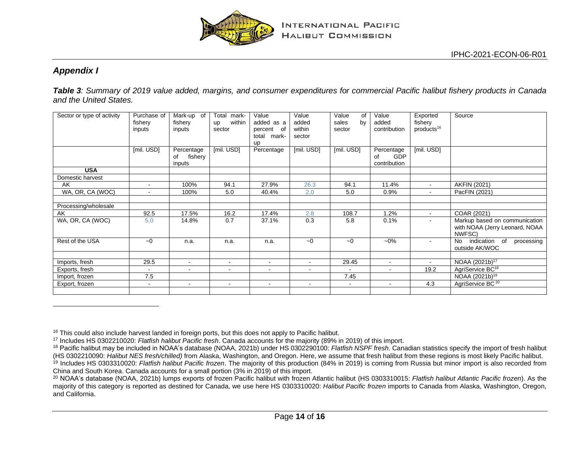

## *Appendix I*

*Table 3: Summary of 2019 value added, margins, and consumer expenditures for commercial Pacific halibut fishery products in Canada and the United States.*

<span id="page-13-0"></span>

| Sector or type of activity | Purchase of<br>fishery<br>inputs | Mark-up of<br>fishery<br>inputs       | mark-<br>Total<br>within<br>up<br>sector | Value<br>added as a<br>percent of<br>total mark-<br><b>up</b> | Value<br>added<br>within<br>sector | Value<br>of<br>sales<br>by<br>sector | Value<br>added<br>contribution                 | Exported<br>fishery<br>products <sup>16</sup> | Source                                                                    |
|----------------------------|----------------------------------|---------------------------------------|------------------------------------------|---------------------------------------------------------------|------------------------------------|--------------------------------------|------------------------------------------------|-----------------------------------------------|---------------------------------------------------------------------------|
|                            | [mil. USD]                       | Percentage<br>fishery<br>0f<br>inputs | [mil. USD]                               | Percentage                                                    | [mil. USD]                         | [mil. USD]                           | Percentage<br><b>GDP</b><br>οf<br>contribution | [mil. USD]                                    |                                                                           |
| <b>USA</b>                 |                                  |                                       |                                          |                                                               |                                    |                                      |                                                |                                               |                                                                           |
| Domestic harvest           |                                  |                                       |                                          |                                                               |                                    |                                      |                                                |                                               |                                                                           |
| AK                         | $\blacksquare$                   | 100%                                  | 94.1                                     | 27.9%                                                         | 26.3                               | 94.1                                 | 11.4%                                          | $\sim$                                        | <b>AKFIN (2021)</b>                                                       |
| WA, OR, CA (WOC)           | $\overline{\phantom{a}}$         | 100%                                  | 5.0                                      | 40.4%                                                         | 2.0                                | 5.0                                  | 0.9%                                           | $\sim$                                        | PacFIN (2021)                                                             |
|                            |                                  |                                       |                                          |                                                               |                                    |                                      |                                                |                                               |                                                                           |
| Processing/wholesale       |                                  |                                       |                                          |                                                               |                                    |                                      |                                                |                                               |                                                                           |
| AK                         | 92.5                             | 17.5%                                 | 16.2                                     | 17.4%                                                         | 2.8                                | 108.7                                | 1.2%                                           | $\blacksquare$                                | COAR (2021)                                                               |
| WA, OR, CA (WOC)           | 5.0                              | 14.8%                                 | 0.7                                      | 37.1%                                                         | 0.3                                | 5.8                                  | 0.1%                                           |                                               | Markup based on communication<br>with NOAA (Jerry Leonard, NOAA<br>NWFSC) |
| Rest of the USA            | $-0$                             | n.a.                                  | n.a.                                     | n.a.                                                          | $-0$                               | $-0$                                 | $-0\%$                                         | $\blacksquare$                                | indication of<br>processing<br>No<br>outside AK/WOC                       |
|                            |                                  |                                       |                                          |                                                               |                                    |                                      |                                                |                                               |                                                                           |
| Imports, fresh             | 29.5                             | $\sim$                                | $\sim$                                   | $\sim$                                                        | $\sim$                             | 29.45                                | $\blacksquare$                                 | $\sim$                                        | NOAA (2021b) <sup>17</sup>                                                |
| Exports, fresh             | $\overline{\phantom{a}}$         | $\sim$                                | $\blacksquare$                           | $\sim$                                                        | $\blacksquare$                     | $\sim$                               | $\blacksquare$                                 | 19.2                                          | AgriService BC <sup>18</sup>                                              |
| Import, frozen             | 7.5                              |                                       |                                          |                                                               |                                    | 7.45                                 |                                                |                                               | NOAA (2021b) <sup>19</sup>                                                |
| Export, frozen             | $\sim$                           | $\sim$                                | $\sim$                                   | $\sim$                                                        | $\blacksquare$                     | $\blacksquare$                       | $\blacksquare$                                 | 4.3                                           | AgriService BC <sup>20</sup>                                              |
|                            |                                  |                                       |                                          |                                                               |                                    |                                      |                                                |                                               |                                                                           |

<sup>&</sup>lt;sup>16</sup> This could also include harvest landed in foreign ports, but this does not apply to Pacific halibut.

<sup>17</sup> Includes HS 0302210020: *Flatfish halibut Pacific fresh*. Canada accounts for the majority (89% in 2019) of this import.

<sup>18</sup> Pacific halibut may be included in NOAA's database (NOAA, 2021b) under HS 0302290100: *Flatfish NSPF fresh*. Canadian statistics specify the import of fresh halibut (HS 0302210090: *Halibut NES fresh/chilled)* from Alaska, Washington, and Oregon. Here, we assume that fresh halibut from these regions is most likely Pacific halibut. <sup>19</sup> Includes HS 0303310020: *Flatfish halibut Pacific frozen*. The majority of this production (84% in 2019) is coming from Russia but minor import is also recorded from China and South Korea. Canada accounts for a small portion (3% in 2019) of this import.

<span id="page-13-1"></span><sup>20</sup> NOAA's database (NOAA, 2021b) lumps exports of frozen Pacific halibut with frozen Atlantic halibut (HS 0303310015: *Flatfish halibut Atlantic Pacific frozen*). As the majority of this category is reported as destined for Canada, we use here HS 0303310020: *Halibut Pacific frozen* imports to Canada from Alaska, Washington, Oregon, and California.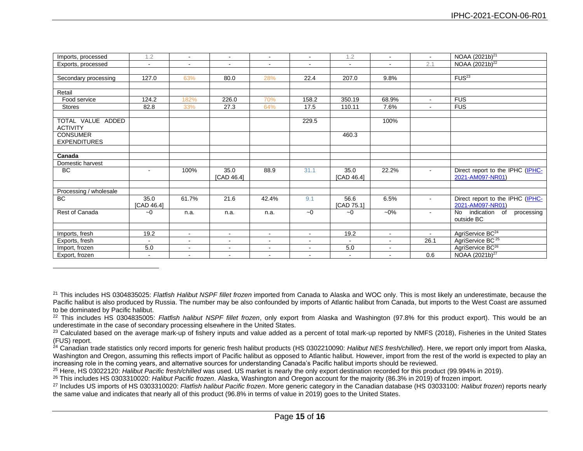| Imports, processed                   | 1.2                | $\sim$         | $\sim$             | $\sim$         | $\blacksquare$ | 1.2                | $\sim$         | $\sim$         | NOAA (2021b) <sup>21</sup>                             |
|--------------------------------------|--------------------|----------------|--------------------|----------------|----------------|--------------------|----------------|----------------|--------------------------------------------------------|
| Exports, processed                   | $\sim$             | $\sim$         | $\sim$             | $\sim$         | $\sim$         | $\sim$             | $\sim$         | 2.1            | NOAA (2021b) <sup>22</sup>                             |
|                                      |                    |                |                    |                |                |                    |                |                |                                                        |
| Secondary processing                 | 127.0              | 63%            | 80.0               | 28%            | 22.4           | 207.0              | 9.8%           |                | FUS <sup>23</sup>                                      |
|                                      |                    |                |                    |                |                |                    |                |                |                                                        |
| Retail                               |                    |                |                    |                |                |                    |                |                |                                                        |
| Food service                         | 124.2              | 182%           | 226.0              | 70%            | 158.2          | 350.19             | 68.9%          | $\sim$         | <b>FUS</b>                                             |
| Stores                               | 82.8               | 33%            | 27.3               | 64%            | 17.5           | 110.11             | 7.6%           | $\blacksquare$ | <b>FUS</b>                                             |
|                                      |                    |                |                    |                |                |                    |                |                |                                                        |
| TOTAL VALUE ADDED<br><b>ACTIVITY</b> |                    |                |                    |                | 229.5          |                    | 100%           |                |                                                        |
| <b>CONSUMER</b>                      |                    |                |                    |                |                | 460.3              |                |                |                                                        |
| <b>EXPENDITURES</b>                  |                    |                |                    |                |                |                    |                |                |                                                        |
|                                      |                    |                |                    |                |                |                    |                |                |                                                        |
| Canada                               |                    |                |                    |                |                |                    |                |                |                                                        |
| Domestic harvest                     |                    |                |                    |                |                |                    |                |                |                                                        |
| <b>BC</b>                            |                    | 100%           | 35.0<br>[CAD 46.4] | 88.9           | 31.1           | 35.0<br>[CAD 46.4] | 22.2%          |                | Direct report to the IPHC (IPHC-<br>2021-AM097-NR01)   |
|                                      |                    |                |                    |                |                |                    |                |                |                                                        |
| Processing / wholesale               |                    |                |                    |                |                |                    |                |                |                                                        |
| BC                                   | 35.0<br>[CAD 46.4] | 61.7%          | 21.6               | 42.4%          | 9.1            | 56.6<br>[CAD 75.1] | 6.5%           | ÷.             | Direct report to the IPHC (IPHC-<br>2021-AM097-NR01)   |
| Rest of Canada                       | $-0$               | n.a.           | n.a.               | n.a.           | $-0$           | $-0$               | $-0\%$         | $\sim$         | <b>No</b><br>indication of<br>processing<br>outside BC |
|                                      |                    |                |                    |                |                |                    |                |                |                                                        |
| Imports, fresh                       | 19.2               | $\sim$         | $\sim$             | $\blacksquare$ | $\blacksquare$ | 19.2               | $\sim$         | $\sim$         | AgriService BC <sup>24</sup>                           |
| Exports, fresh                       | $\overline{a}$     | $\blacksquare$ | $\sim$             | $\sim$         | $\blacksquare$ | $\sim$             | $\sim$         | 26.1           | AgriService BC <sup>25</sup>                           |
| Import, frozen                       | 5.0                | $\sim$         | $\sim$             | $\sim$         | $\mathbf{r}$   | 5.0                | $\blacksquare$ |                | AgriService BC <sup>26</sup>                           |
| Export, frozen                       | $\blacksquare$     |                |                    | $\blacksquare$ | $\blacksquare$ | $\sim$             |                | 0.6            | NOAA (2021b) <sup>27</sup>                             |

<sup>22</sup> This includes HS 0304835005: *Flatfish halibut NSPF fillet frozen*, only export from Alaska and Washington (97.8% for this product export). This would be an underestimate in the case of secondary processing elsewhere in the United States.

<sup>23</sup> Calculated based on the average mark-up of fishery inputs and value added as a percent of total mark-up reported by NMFS (2018), Fisheries in the United States (FUS) report.

<sup>24</sup> Canadian trade statistics only record imports for generic fresh halibut products (HS 0302210090: *Halibut NES fresh/chilled*). Here, we report only import from Alaska, Washington and Oregon, assuming this reflects import of Pacific halibut as opposed to Atlantic halibut. However, import from the rest of the world is expected to play an increasing role in the coming years, and alternative sources for understanding Canada's Pacific halibut imports should be reviewed.

<sup>25</sup> Here, HS 03022120: *Halibut Pacific fresh/chilled* was used. US market is nearly the only export destination recorded for this product (99.994% in 2019).

<sup>26</sup> This includes HS 0303310020: *Halibut Pacific frozen*. Alaska, Washington and Oregon account for the majority (86.3% in 2019) of frozen import.

<sup>27</sup> Includes US imports of HS 0303310020: *Flatfish halibut Pacific frozen*. More generic category in the Canadian database (HS 03033100: *Halibut frozen*) reports nearly the same value and indicates that nearly all of this product (96.8% in terms of value in 2019) goes to the United States.

<sup>21</sup> This includes HS 0304835025: *Flatfish Halibut NSPF fillet frozen* imported from Canada to Alaska and WOC only. This is most likely an underestimate, because the Pacific halibut is also produced by Russia. The number may be also confounded by imports of Atlantic halibut from Canada, but imports to the West Coast are assumed to be dominated by Pacific halibut.